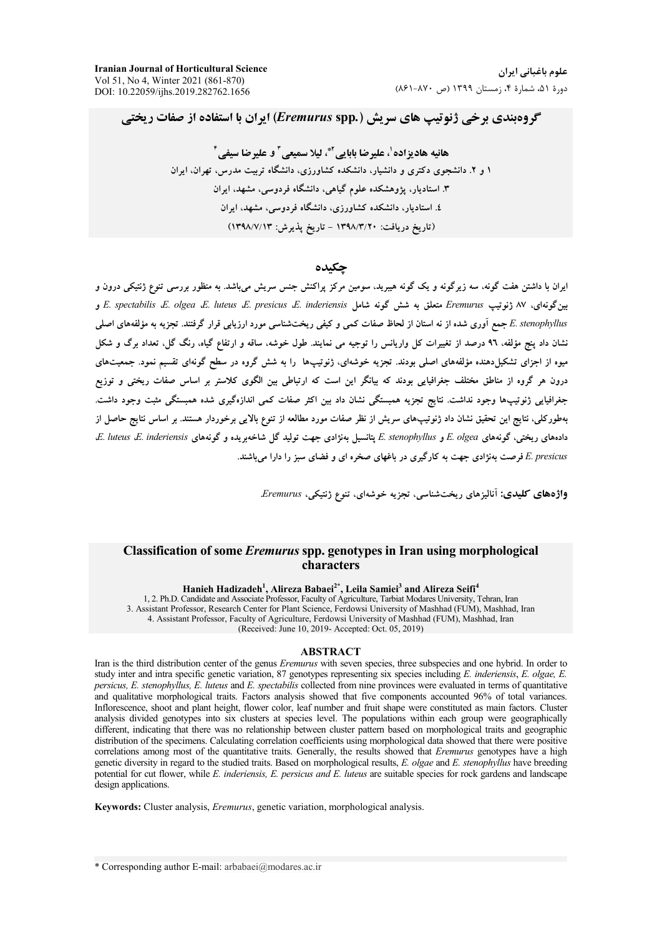**Iranian Journal of Horticultural Science** Vol 51, No 4, Winter 2021 (861-870) DOI: 10.22059/ijhs.2019.282762.1656

# گروهبندی برخی ژنوتیپ های سریش (Eremurus spp.) ایران با استفاده از صفات ریختی

ھائیه ھاد بزادہ<sup>'</sup>، علیر ضا باباہے َ\*، لیلا سمیعے ِ ّ و علیر ضا سیفے ِ <sup>\*</sup> ۱ و ۲. دانشجوی دکتری و دانشیار، دانشکده کشاورزی، دانشگاه تربیت مدرس، تهران، ایران ۳. استادیار، یژوهشکده علوم گیاهی، دانشگاه فردوسی، مشهد، ایران ٤. استادیار، دانشکده کشاورزی، دانشگاه فردوسی، مشهد، ایران (تاریخ دریافت: ۱۳۹۸/۳/۲۰ – تاریخ پذیرش: ۱۳۹۸/۷/۱۳)

#### حكىدە

ایران با داشتن هفت گونه، سه زیرگونه و یک گونه هیبرید، سومین مرکز پراکنش جنس سریش میباشد. به منظور بررسی تنوع ژنتیکی درون و بینگونهای، ۸۷ ژنوتیپ Eremurus متعلق به شش گونه شامل E. spectabilis E. olgea E. luteus E. presicus E. inderiensis و E. stenophyllus جمع آوری شده از نه استان از لحاظ صفات کمی و کیفی ریختشناسی مورد ارزیابی قرار گرفتند. تجزیه به مؤلفههای اصلی .<br>نشان داد پنج مؤلفه، ۹٦ درصد از تغییرات کل واریانس را توجیه می نمایند. طول خوشه، ساقه و ارتفاع گیاه، رنگ گل، تعداد برگ و شکل میوه از اجزای تشکیلدهنده مؤلفههای اصلی بودند. تجزیه خوشهای، ژنوتیپها ً را به شش گروه در سطح گونهای تقسیم نمود. جمعیتهای درون هر گروه از مناطق مختلف جغرافیایی بودند که بیانگر این است که ارتباطی بین الگوی کلاستر بر اساس صفات ریختی و توزیع جغرافیایی ژنوتیپها وجود نداشت. نتایج تجزیه همبستگی نشان داد بین اکثر صفات کمی اندازهگیری شده همبستگی مثبت وجود داشت. بهطورکلی، نتایج این تحقیق نشان داد ژنوتیپهای سریش از نظر صفات مورد مطالعه از تنوع بالایی برخوردار هستند. بر اساس نتایج حاصل از دادههای ریختی، گونههای E. olgea و E. stenophyllus یتانسیل بهنژادی جهت تولید گل شاخهبریده و گونههای E. luteus ،E E. presicus فرصت بهنژادی جهت به کارگیری در باغهای صخره ای و فضای سبز را دارا میباشند.

واژدهای کلیدی: آنالیزهای ریخت شناسی، تجزیه خوشهای، تنوع ژنتیکی، Eremurus.

## Classification of some Eremurus spp. genotypes in Iran using morphological characters

Hanieh Hadizadeh<sup>1</sup>, Alireza Babaei<sup>2\*</sup>, Leila Samiei<sup>3</sup> and Alireza Seifi<sup>4</sup><br>1, 2. Ph.D. Candidate and Associate Professor, Faculty of Agriculture, Tarbiat Modares University, Tehran, Iran

3. Assistant Professor, Research Center for Plant Science, Ferdowsi University of Mashhad (FUM), Mashhad, Iran 4. Assistant Professor, Faculty of Agriculture, Ferdowsi University of Mashhad (FUM), Mashhad, Iran (Received: June 10, 2019- Accepted: Oct. 05, 2019)

#### **ABSTRACT**

Iran is the third distribution center of the genus Eremurus with seven species, three subspecies and one hybrid. In order to study inter and intra specific genetic variation, 87 genotypes representing six species including E. inderiensis, E. olgae, E. persicus, E. stenophyllus, E. luteus and E. spectabilis collected from nine provinces were evaluated in terms of quantitative and qualitative morphological traits. Factors analysis showed that five components accounted 96% of total variances. Inflorescence, shoot and plant height, flower color, leaf number and fruit shape were constituted as main factors. Cluster analysis divided genotypes into six clusters at species level. The populations within each group were geographically different, indicating that there was no relationship between cluster pattern based on morphological traits and geographic distribution of the specimens. Calculating correlation coefficients using morphological data showed that there were positive correlations among most of the quantitative traits. Generally, the results showed that *Eremurus* genotypes have a high genetic diversity in regard to the studied traits. Based on morphological results, E. olgae and E. stenophyllus have breeding potential for cut flower, while E. inderiensis, E. persicus and E. luteus are suitable species for rock gardens and landscape design applications.

Keywords: Cluster analysis, *Eremurus*, genetic variation, morphological analysis.

\* Corresponding author E-mail: arbabaei@modares.ac.ir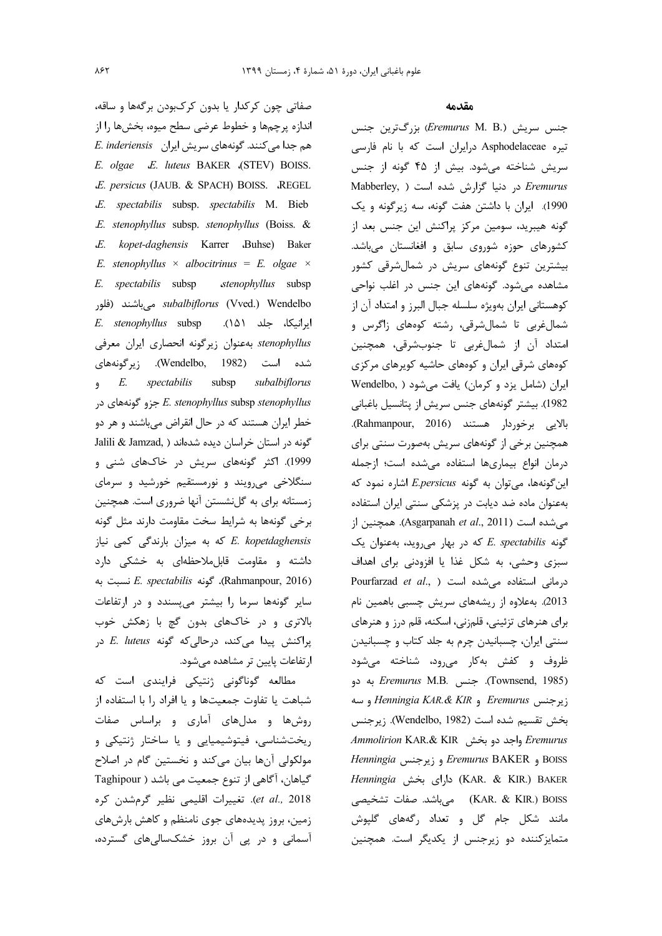صفاتی چون کرکدار یا بدون کرکبودن برگهها و ساقه، اندازه پرچمها و خطوط عرضی سطح میوه، بخشها را از هم جدا می کنند. گونههای سریش ایران E. inderiensis E. olgae E. luteus BAKER (STEV) BOISS. E. persicus (JAUB. & SPACH) BOISS. REGEL .E. spectabilis subsp. spectabilis M. Bieb .E. stenophyllus subsp. stenophyllus (Boiss. & E. kopet-daghensis Karrer Buhse) Baker E. stenophyllus  $\times$  albocitrinus = E. olgae  $\times$ E. spectabilis subsp stenophyllus subsp subalbiflorus (Vved.) Wendelbo میباشند (فلور E. stenophyllus subsp ايرانيكا، جلد ٥١). stenophyllus بهعنوان زيركونه انحصارى ايران معرفى شده است (Wendelbo, 1982). زیرگونههای subsp subalbiflorus  $\cal E.$ spectabilis  $\ddot{9}$ E. stenophyllus subsp stenophyllus جزو گونههای در خطر ایران هستند که در حال انقراض می باشند و هر دو Jalili & Jamzad, ) كونه در استان خراسان ديده شدهاند 1999). اکثر گونههای سریش در خاکهای شنی و سنگلاخی می ویند و نورمستقیم خورشید و سرمای زمستانه برای به گلنشستن آنها ضروری است. همچنین برخی گونهها به شرایط سخت مقاومت دارند مثل گونه که به میزان بارندگی کمی نیاز E. kopetdaghensis داشته و مقاومت قابل ملاحظهای به خشکی دارد (Rahmanpour, 2016). گونه E. spectabilis نسبت به سایر گونهها سرما را بیشتر می پسندد و در ارتفاعات بالاتری و در خاکهای بدون گچ با زهکش خوب پراکنش پیدا میکند، درحالی که گونه E. luteus در ار تفاعات پایین تر مشاهده میشود.

مطالعه گوناگونی ژنتیکی فرایندی است که شباهت یا تفاوت جمعیتها و یا افراد را با استفاده از روشها و مدلهای آماری و براساس صفات ریختشناسی، فیتوشیمیایی و یا ساختار ژنتیکی و مولکولی آنها بیان میکند و نخستین گام در اصلاح Taghipour ) المی از تنوع جمعیت می باشد ( Taghipour et al., 2018). تغييرات اقليمي نظير گرمشدن كره زمین، بروز پدیدههای جوی نامنظم و کاهش بارشهای آسمانی و در پی آن بروز خشکسالی های گسترده، مقدمه

جنس سريش (Eremurus M. B.) بزرگترين جنس تیره Asphodelaceae درایران است که با نام فارسی سریش شناخته می شود. بیش از ۴۵ گونه از جنس Mabberley, ) در دنیا گزارش شده است (Mabberley, ) 1990). ایران با داشتن هفت گونه، سه زیرگونه و یک گونه هیبرید، سومین مرکز پراکنش این جنس بعد از کشورهای حوزه شوروی سابق و افغانستان میباشد. بیشترین تنوع گونههای سریش در شمالشرقی کشور مشاهده می شود. گونههای این جنس در اغلب نواحی كوهستاني ايران بهويژه سلسله جبال البرز و امتداد آن از شمال غربی تا شمال شرقی، رشته کوههای زاگرس و امتداد آن از شمالِغربی تا جنوبشرقی، همچنین کومهای شرقی ایران و کومهای حاشیه کویرهای مرکزی ایران (شامل یزد و کرمان) یافت می شود ( Wendelbo, 1982). بیشتر گونههای جنس سریش از پتانسیل باغبانی بالايي برخوردار هستند (Rahmanpour, 2016). همچنین برخی از گونههای سریش بهصورت سنتی برای درمان انواع بيمارىها استفاده مى شده است؛ ازجمله این گونهها، می توان به گونه E.persicus اشاره نمود که بهعنوان ماده ضد دیابت در پزشکی سنتی ایران استفاده می شده است (Asgarpanah et al., 2011). همچنین از  $E.$  spectabilis که در بهار می روید، به عنوان یک سبزی وحشی، به شکل غذا یا افزودنی برای اهداف Pourfarzad et al., ) شده است ( Pourfarzad et al., 2013). بەعلاوە از ریشەھای سریش چسبی باھمین نام برای هنرهای تزئینی، قلمزنی، اسکنه، قلم درز و هنرهای سنتی ایران، چسبانیدن چرم به جلد کتاب و چسبانیدن ظروف و کفش بهکار میرود، شناخته میشود (Townsend, 1985). جنس *Eremurus* M.B. به دو <sub>i</sub> Eremurus و Henningia KAR. & KIR و سه بخش تقسيم شده است (Wendelbo, 1982). زيرجنس Eremurus واجد دو بخش Ammolirion KAR.& KIR BOISS و *Eremurus* BAKER و زيرجنس Henningia Henningia دارای بخش (KAR. & KIR.) BAKER KAR. & KIR.) BOISS) میباشد. صفات تشخیصی مانند شکل جام گل و تعداد رگههای گلپوش متمایزکننده دو زیرجنس از یکدیگر است. همچنین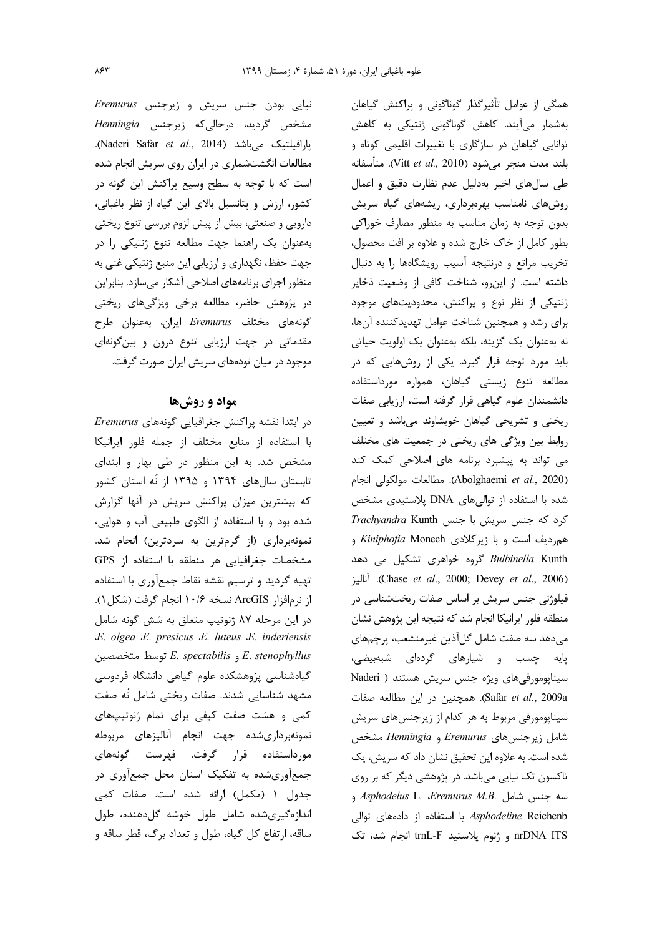نیایی بودن جنس سریش و زیرجنس Eremurus مشخص گردید، درحالیکه زیرجنس Henningia .(افیلتیک میباشد (Naderi Safar et al., 2014). مطالعات انگشتشماری در ایران روی سریش انجام شده است که با توجه به سطح وسیع پراکنش این گونه در کشور، ارزش و پتانسیل بالای این گیاه از نظر باغبانی، دارویی و صنعتی، بیش از پیش لزوم بررسی تنوع ریختی بهعنوان یک راهنما جهت مطالعه تنوع ژنتیکی را در جهت حفظ، نگهداری و ارزیابی این منبع ژنتیکی غنی به منظور اجرای برنامههای اصلاحی آشکار میسازد. بنابراین در پژوهش حاضر، مطالعه برخی ویژگیهای ریختی گونههای مختلف Eremurus ایران، بهعنوان طرح مقدماتی در جهت ارزیابی تنوع درون و بینگونهای موجود در میان تودههای سریش ایران صورت گرفت.

### مواد و روشها

در ابتدا نقشه پراکنش جغرافیایی گونههای Eremurus با استفاده از منابع مختلف از جمله فلور ايرانيكا مشخص شد. به این منظور در طی بهار و ابتدای تابستان سالهای ۱۳۹۴ و ۱۳۹۵ از نُه استان کشور که بیشترین میزان پراکنش سریش در آنها گزارش شده بود و با استفاده از الگوی طبیعی آب و هوایی، نمونهبرداری (از گرمترین به سردترین) انجام شد. مشخصات جغرافیایی هر منطقه با استفاده از GPS تهیه گردید و ترسیم نقشه نقاط جمعآوری با استفاده از نرمافزار ArcGIS نسخه ۱۰/۶ انجام گرفت (شكل ۱). در این مرحله ۸۷ ژنوتیپ متعلق به شش گونه شامل E. olgea E. presicus E. luteus E. inderiensis E. stenophyllus و E. spectabilis توسط متخصصين گیاهشناسی پژوهشکده علوم گیاهی دانشگاه فردوسی مشهد شناسایی شدند. صفات ریختی شامل نُه صفت کمی و هشت صفت کیفی برای تمام ژنوتیپهای نمونهبرداري شده جهت انجام آناليزهاي مربوطه مورداستفاده قرار گرفت. فهرست گونههای جمعآوریشده به تفکیک استان محل جمعآوری در جدول ١ (مكمل) ارائه شده است. صفات كمي اندازهگیریشده شامل طول خوشه گلدهنده، طول ساقه، ارتفاع کل گیاه، طول و تعداد برگ، قطر ساقه و

همگی از عوامل تأثیرگذار گوناگونی و پراکنش گیاهان بەشمار مىآيند. كاھش گوناگونى ژنتيكى بە كاھش توانایی گیاهان در سازگاری با تغییرات اقلیمی کوتاه و بلند مدت منجر مي شود (Vitt et al., 2010). متأسفانه طی سالهای اخیر بهدلیل عدم نظارت دقیق و اعمال روشهای نامناسب بهرهبرداری، ریشههای گیاه سریش بدون توجه به زمان مناسب به منظور مصارف خوراکی بطور كامل از خاك خارج شده و علاوه بر افت محصول، تخریب مراتع و درنتیجه آسیب رویشگاهها را به دنبال داشته است. از این رو، شناخت کافی از وضعیت ذخایر ژنتیکی از نظر نوع و پراکنش، محدودیتهای موجود برای رشد و همچنین شناخت عوامل تهدیدکننده آنها، نه بهعنوان یک گزینه، بلکه بهعنوان یک اولویت حیاتی باید مورد توجه قرار گیرد. یکی از روشهایی که در مطالعه تنوع زيستي گياهان، همواره مورداستفاده دانشمندان علوم گیاهی قرار گرفته است، ارزیابی صفات ریختی و تشریحی گیاهان خویشاوند میباشد و تعیین روابط بین ویژگی های ریختی در جمعیت های مختلف می تواند به پیشبرد برنامه های اصلاحی کمک کند (Abolghaemi et al., 2020). مطالعات مولكولي انجام شده با استفاده از توالیهای DNA پلاستیدی مشخص Trachyandra Kunth جنس با جنس Trachyandra Kunth همرديف است و با زيركلادى Kiniphofia Monech و Bulbinella Kunth گروه خواهری تشکیل می دهد (Chase et al., 2000; Devey et al., 2006). آناليز فیلوژنی جنس سریش بر اساس صفات ریختشناسی در منطقه فلور ايرانيكا انجام شد كه نتيجه اين پژوهش نشان می دهد سه صفت شامل گل آذین غیرمنشعب، پرچمهای پایه چسب و شیارهای گردهای شبهبیضی، سیناپومورفی های ویژه جنس سریش هستند ( Naderi Safar et al., 2009a). همچنین در این مطالعه صفات سیناپومورفی مربوط به هر کدام از زیرجنسهای سریش شامل زیرجنس های Eremurus و Henningia مشخص شده است. به علاوه این تحقیق نشان داد که سریش، یک تاکسون تک نیایی میباشد. در پژوهشی دیگر که بر روی سه جنس شامل Asphodelus L. Eremurus M.B. Asphodeline Reichenb با استفاده از دادههای توالی nrDNA ITS و ژنوم پلاستید trnL-F انجام شد، تک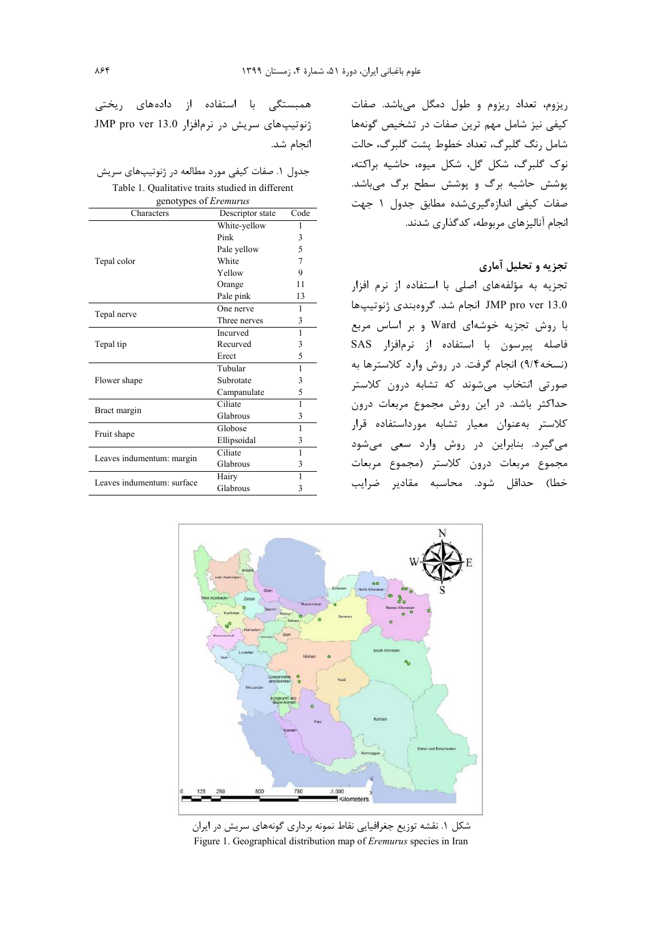انجام شد.

ریزوم، تعداد ریزوم و طول دمگل میباشد. صفات کیفی نیز شامل مهم ترین صفات در تشخیص گونهها شامل رنگ گلبرگ، تعداد خطوط پشت گلبرگ، حالت نوک گلبرگ، شکل گل، شکل میوه، حاشیه براکته، پوشش حاشیه برگ و پوشش سطح برگ می باشد. صفات کیفی اندازهگیریشده مطابق جدول ۱ جهت انجام آنالیزهای مربوطه، کدگذاری شدند.

## تجزیه و تحلیل آماری

تجزیه به مؤلفههای اصلی با استفاده از نرم افزار JMP pro ver 13.0 انجام شد. گروهبندی ژنوتیپها با روش تجزیه خوشهای Ward و بر اساس مربع فاصله پیرسون با استفاده از نرمافزار SAS (نسخه۹/۴) انجام گرفت. در روش وارد کلاسترها به صورتی انتخاب میشوند که تشابه درون کلاستر حداکثر باشد. در این روش مجموع مربعات درون كلاستر بهعنوان معيار تشابه مورداستفاده قرار میگیرد. بنابراین در روش وارد سعی می شود مجموع مربعات درون كلاستر (مجموع مربعات خطا) حداقل شود. محاسبه مقادير ضرايب

 $1,000$ 

شکل ۱. نقشه توزیع جغرافیایی نقاط نمونه برداری گونههای سریش در ایران Figure 1. Geographical distribution map of Eremurus species in Iran



| genotypes of <i>Eremurus</i> |                  |      |  |  |  |
|------------------------------|------------------|------|--|--|--|
| Characters                   | Descriptor state | Code |  |  |  |
|                              | White-yellow     | 1    |  |  |  |
|                              | Pink             | 3    |  |  |  |
|                              | Pale yellow      | 5    |  |  |  |
| Tepal color                  | White            | 7    |  |  |  |
|                              | Yellow           | 9    |  |  |  |
|                              | Orange           | 11   |  |  |  |
|                              | Pale pink        | 13   |  |  |  |
|                              | One nerve        | 1    |  |  |  |
| Tepal nerve                  | Three nerves     | 3    |  |  |  |
| Tepal tip                    | Incurved         | 1    |  |  |  |
|                              | Recurved         | 3    |  |  |  |
|                              | Erect            | 5    |  |  |  |
| Flower shape                 | Tubular          | 1    |  |  |  |
|                              | Subrotate        | 3    |  |  |  |
|                              | Campanulate      | 5    |  |  |  |
| Bract margin                 | Ciliate          | 1    |  |  |  |
|                              | Glabrous         | 3    |  |  |  |
| Fruit shape                  | Globose          | 1    |  |  |  |
|                              | Ellipsoidal      | 3    |  |  |  |
|                              | Ciliate          | 1    |  |  |  |
| Leaves indumentum: margin    | Glabrous         | 3    |  |  |  |
| Leaves indumentum: surface   | Hairy            | 1    |  |  |  |
|                              | Glabrous         | 3    |  |  |  |
|                              |                  |      |  |  |  |

همبستگی با استفاده از دادههای ریختی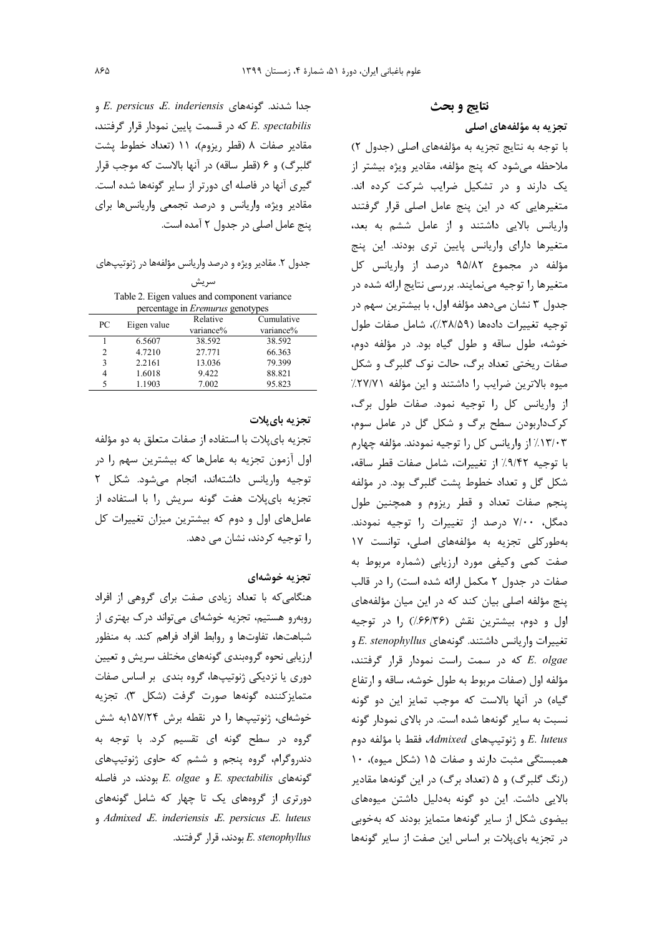نتايج و بحث

تجزیه به مؤلفههای اصلی

با توجه به نتايج تجزيه به مؤلفههاى اصلى (جدول ٢) ملاحظه میشود که پنج مؤلفه، مقادیر ویژه بیشتر از یک دارند و در تشکیل ضرایب شرکت کرده اند. متغیرهایی که در این پنج عامل اصلی قرار گرفتند واریانس بالایی داشتند و از عامل ششم به بعد، متغیرها دارای واریانس پایین تری بودند. این پنج مؤلفه در مجموع ۹۵/۸۲ درصد از واریانس کل متغیرها را توجیه مینمایند. بررسی نتایج ارائه شده در جدول ۳ نشان میدهد مؤلفه اول، با بیشترین سهم در توجيه تغييرات دادهها (٣٨/٥٩٪)، شامل صفات طول خوشه، طول ساقه وطول گیاه بود. در مؤلفه دوم، صفات ریختی تعداد برگ، حالت نوک گلبرگ و شکل ميوه بالاترين ضرايب ,ا داشتند و اين مؤلفه ٢٧/٧١/ از واریانس کل را توجیه نمود. صفات طول برگ، کر ک\داربودن سطح برگ و شکل گل در عامل سوم، ۱۳/۰۳٪ از واریانس کل را توجیه نمودند. مؤلفه چهارم با توجيه ٩/٤٪ از تغييرات، شامل صفات قطر ساقه، شکل گل و تعداد خطوط پشت گلبرگ بود. در مؤلفه پنجم صفات تعداد و قطر ریزوم و همچنین طول دمگل، ۷/۰۰ درصد از تغییرات را توجیه نمودند. بهطوركلى تجزيه به مؤلفههاى اصلى، توانست ١٧ صفت کمی وکیفی مورد ارزیابی (شماره مربوط به صفات در جدول ٢ مكمل ارائه شده است) را در قالب پنج مؤلفه اصلی بیان کند که در این میان مؤلفههای اول و دوم، بیشترین نقش (۶۶/۳۶٪) را در توجیه تغییرات واریانس داشتند. گونههای E. stenophyllus و E. olgae كه در سمت راست نمودار قرار گرفتند، مؤلفه اول (صفات مربوط به طول خوشه، ساقه و ارتفاع گیاه) در آنها بالاست که موجب تمایز این دو گونه نسبت به سایر گونهها شده است. در بالای نمودار گونه E. luteus و ژنوتیپهای Admixed، فقط با مؤلفه دوم همبستگی مثبت دارند و صفات ۱۵ (شکل میوه)، ۱۰ (رنگ گلبرگ) و ۵ (تعداد برگ) در این گونهها مقادیر بالایی داشت. این دو گونه بهدلیل داشتن میوههای بیضوی شکل از سایر گونهها متمایز بودند که بهخوبی در تجزیه بای پلات بر اساس این صفت از سایر گونهها

جدا شدند. گونههای E. persicus ،E. inderiensis و E. spectabilis كه در قسمت پايين نمودار قرار گرفتند، مقادير صفات ٨ (قطر ريزوم)، ١١ (تعداد خطوط يشت گلبرگ) و ۶ (قطر ساقه) در آنها بالاست که موجب قرار گیری آنها در فاصله ای دورتر از سایر گونهها شده است. مقادیر ویژه، واریانس و درصد تجمعی واریانسها برای ينج عامل اصلي در جدول ٢ آمده است.

جدول ۲. مقادیر ویژه و درصد واریانس مؤلفهها در ژنوتیپهای

سريش Table 2. Eigen values and component variance percentage in Eremurus genotypes

|        | Relative    | Cumulative |
|--------|-------------|------------|
|        | variance%   | variance%  |
| 6.5607 | 38.592      | 38.592     |
| 4.7210 | 27.771      | 66.363     |
| 2.2161 | 13.036      | 79.399     |
| 1.6018 | 9.422       | 88.821     |
| 1.1903 | 7.002       | 95.823     |
|        | Eigen value |            |

## تجزیه بای پلات

تجزیه بایپلات با استفاده از صفات متعلق به دو مؤلفه اول آزمون تجزیه به عاملها که بیشترین سهم را در توجيه واريانس داشتهاند، انجام مي شود. شكل ٢ تجزیه بایپلات هفت گونه سریش را با استفاده از عاملهای اول و دوم که بیشترین میزان تغییرات کل را توجیه کردند، نشان می دهد.

### تجزيه خوشهاي

هنگامی که با تعداد زیادی صفت برای گروهی از افراد روبهرو هستیم، تجزیه خوشهای میتواند درک بهتری از شباهتها، تفاوتها و روابط افراد فراهم کند. به منظور ارزیایی نحوه گروهبندی گونههای مختلف سریش و تعیین دوری یا نزدیکی ژنوتیپها، گروه بندی بر اساس صفات متمايزكننده گونهها صورت گرفت (شكل ٣). تجزيه خوشهای، ژنوتیپها را در نقطه برش ۱۵۷/۲۴به شش گروه در سطح گونه ای تقسیم کرد. با توجه به دندروگرام، گروه پنجم و ششم که حاوی ژنوتیپهای E. spectabilis و E. olgae بودند، در فاصله دورتری از گروههای یک تا چهار که شامل گونههای  $A$ dmixed  $E$ . inderiensis  $E$ . persicus  $E$ . luteus بودند، قرار گرفتند. K. stenophyllus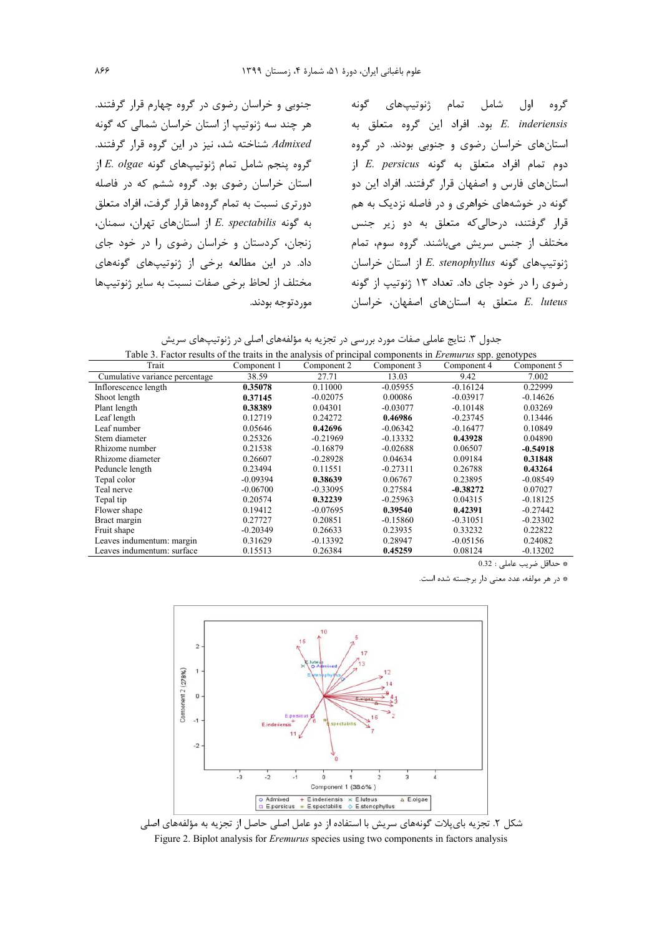جنوبی و خراسان رضوی در گروه چهارم قرار گرفتند. هر چند سه ژنوتیپ از استان خراسان شمالی که گونه Admixed شناخته شد، نیز در این گروه قرار گرفتند. گروه پنجم شامل تمام ژنوتیپهای گونه E. olgae از استان خراسان رضوی بود. گروه ششم که در فاصله دورتری نسبت به تمام گروهها قرار گرفت، افراد متعلق  $E.$  spectabilis از استانهای تهران، سمنان، زنجان، کردستان و خراسان رضوی را در خود جای داد. در این مطالعه برخی از ژنوتیپهای گونههای مختلف از لحاظ برخی صفات نسبت به سایر ژنوتیپها مور دتوجه بودند.

اول شامل تمام ژنوتیپهای گونه گروه E. inderiensis بود. افراد این گروه متعلق به استانهای خراسان رضوی و جنوبی بودند. در گروه  $E.$  persicus دوم تمام افراد متعلق به گونه استانهای فارس و اصفهان قرار گرفتند. افراد این دو گونه در خوشههای خواهری و در فاصله نزدیک به هم قرار گرفتند، درحالی که متعلق به دو زیر جنس مختلف از جنس سریش می باشند. گروه سوم، تمام  $\mathcal{E}$  : نوتیپهای گونه E. stenophyllus از استان خراسان رضوی را در خود جای داد. تعداد ۱۳ ژنوتیپ از گونه E. luteus متعلق به استانهای اصفهان، خراسان

جدول ۳. نتایج عاملی صفات مورد بررسی در تجزیه به مؤلفههای اصلی در ژنوتیپهای سریش

| Table 3. Factor results of the traits in the analysis of principal components in <i>Eremurus</i> spp. genotypes |             |             |             |             |             |
|-----------------------------------------------------------------------------------------------------------------|-------------|-------------|-------------|-------------|-------------|
| Trait                                                                                                           | Component 1 | Component 2 | Component 3 | Component 4 | Component 5 |
| Cumulative variance percentage                                                                                  | 38.59       | 27.71       | 13.03       | 9.42        | 7.002       |
| Inflorescence length                                                                                            | 0.35078     | 0.11000     | $-0.05955$  | $-0.16124$  | 0.22999     |
| Shoot length                                                                                                    | 0.37145     | $-0.02075$  | 0.00086     | $-0.03917$  | $-0.14626$  |
| Plant length                                                                                                    | 0.38389     | 0.04301     | $-0.03077$  | $-0.10148$  | 0.03269     |
| Leaf length                                                                                                     | 0.12719     | 0.24272     | 0.46986     | $-0.23745$  | 0.13446     |
| Leaf number                                                                                                     | 0.05646     | 0.42696     | $-0.06342$  | $-0.16477$  | 0.10849     |
| Stem diameter                                                                                                   | 0.25326     | $-0.21969$  | $-0.13332$  | 0.43928     | 0.04890     |
| Rhizome number                                                                                                  | 0.21538     | $-0.16879$  | $-0.02688$  | 0.06507     | $-0.54918$  |
| Rhizome diameter                                                                                                | 0.26607     | $-0.28928$  | 0.04634     | 0.09184     | 0.31848     |
| Peduncle length                                                                                                 | 0.23494     | 0.11551     | $-0.27311$  | 0.26788     | 0.43264     |
| Tepal color                                                                                                     | $-0.09394$  | 0.38639     | 0.06767     | 0.23895     | $-0.08549$  |
| Teal nerve                                                                                                      | $-0.06700$  | $-0.33095$  | 0.27584     | $-0.38272$  | 0.07027     |
| Tepal tip                                                                                                       | 0.20574     | 0.32239     | $-0.25963$  | 0.04315     | $-0.18125$  |
| Flower shape                                                                                                    | 0.19412     | $-0.07695$  | 0.39540     | 0.42391     | $-0.27442$  |
| Bract margin                                                                                                    | 0.27727     | 0.20851     | $-0.15860$  | $-0.31051$  | $-0.23302$  |
| Fruit shape                                                                                                     | $-0.20349$  | 0.26633     | 0.23935     | 0.33232     | 0.22822     |
| Leaves indumentum: margin                                                                                       | 0.31629     | $-0.13392$  | 0.28947     | $-0.05156$  | 0.24082     |
| Leaves indumentum: surface                                                                                      | 0.15513     | 0.26384     | 0.45259     | 0.08124     | $-0.13202$  |

\* حداقل ضريب عاملي : 0.32

\* در هر مولفه، عدد معنى دار برجسته شده است.



شکل ۲. تجزیه بایپلات گونههای سریش با استفاده از دو عامل اصلی حاصل از تجزیه به مؤلفههای اصلی Figure 2. Biplot analysis for *Eremurus* species using two components in factors analysis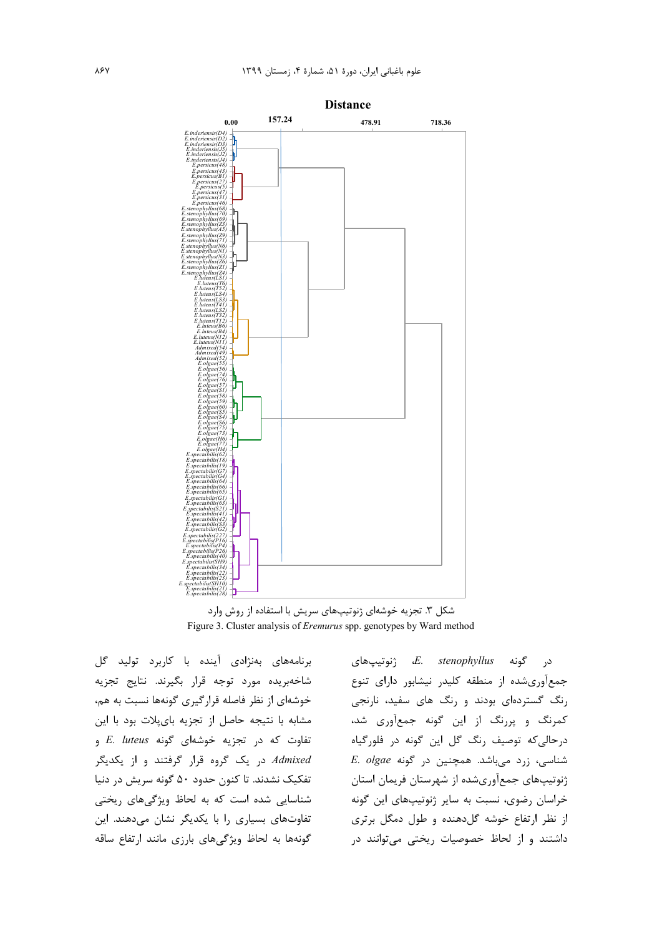

شکل ۳. تجزیه خوشهای ژنوتیپهای سریش با استفاده از روش وارد Figure 3. Cluster analysis of Eremurus spp. genotypes by Ward method

برنامههای بهنژادی آینده با کاربرد تولید گل شاخەبريدە مورد توجه قرار بگيرند. نتايج تجزيه خوشهای از نظر فاصله قرارگیری گونهها نسبت به هم، مشابه با نتيجه حاصل از تجزيه باي پلات بود با اين  $E.$  luteus تفاوت که در تجزیه خوشهای گونه Admixed در یک گروه قرار گرفتند و از یکدیگر تفکیک نشدند. تا کنون حدود ۵۰ گونه سریش در دنیا شناسایی شده است که به لحاظ ویژگیهای ریختی تفاوتهای بسیاری را با یکدیگر نشان میدهند. این گونهها به لحاظ ویژگیهای بارزی مانند ارتفاع ساقه

زنوتىپ ھائ $E.$ stenophyllus گونه د, جمعآوریشده از منطقه کلیدر نیشابور دارای تنوع رنگ گستردهای بودند و رنگ های سفید، نارنجی کمرنگ و پررنگ از این گونه جمعآوری شد، درحالي كه توصيف رنگ گل اين گونه در فلورگياه E. olgae شناسی، زرد میباشد. همچنین در گونه E. olgae ژنوتیپهای جمعآوریشده از شهرستان فریمان استان خراسان رضوی، نسبت به سایر ژنوتیپهای این گونه از نظر ارتفاع خوشه گلدهنده و طول دمگل برتری داشتند و از لحاظ خصوصیات ریختی میتوانند در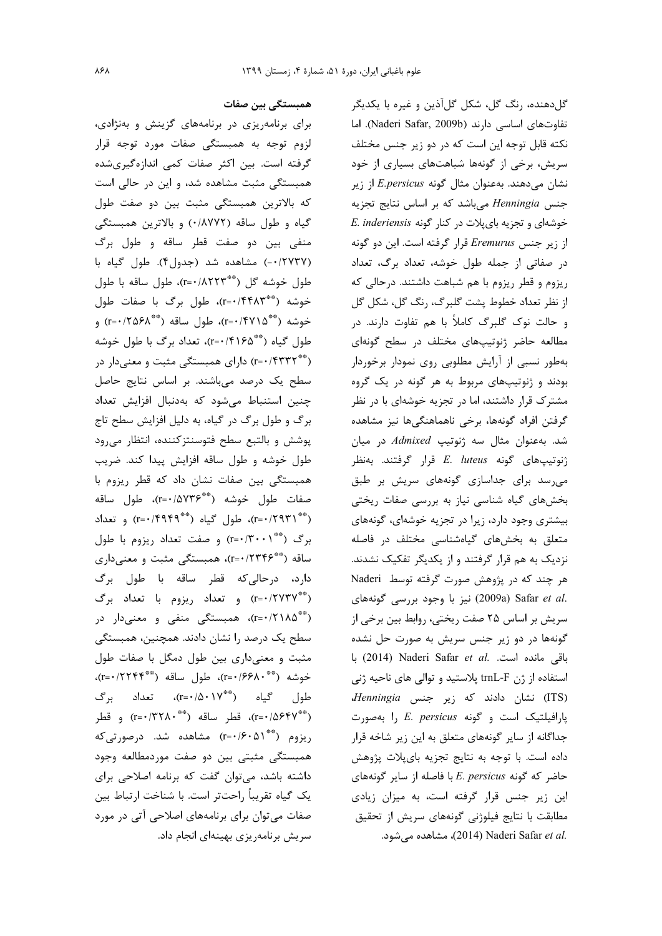همبستگی بین صفات

برای برنامهریزی در برنامههای گزینش و بهنژادی، لزوم توجه به همبستگی صفات مورد توجه قرار گرفته است. بین اکثر صفات کمی اندازهگیریشده همبستگی مثبت مشاهده شد، و این در حالی است كه بالاترين همبستگي مثبت بين دو صفت طول گیاه و طول ساقه (۰/۸۷۷۲) و بالاترین همبستگی منفی بین دو صفت قطر ساقه و طول برگ (٠/٢٧٣٧-) مشاهده شد (جدول۴). طول گیاه با طول خوشه گل (\*\*\*r=۰/۸۲۲۳)، طول ساقه با طول خوشه (\*\*r=۰/۴۴۸۳\*)، طول برگ با صفات طول خوشه (\*\*\*r=۰/۴۷۱۵)، طول ساقه (\*\*\*r=۰/۲۵۶۸) و طول گیاه (\*\*\*r=۰/۴۱۶۵)، تعداد برگ با طول خوشه (\*\*\*۱۴۳۲\*۱) دارای همبستگی مثبت و معنیدار در سطح یک درصد میباشند. بر اساس نتایج حاصل چنین استنباط می شود که به دنبال افزایش تعداد برگ و طول برگ در گیاه، به دلیل افزایش سطح تاج پوشش و بالتبع سطح فتوسنتز كننده، انتظار مى رود طول خوشه وطول ساقه افزايش پيدا كند. ضريب همبستگی بین صفات نشان داد که قطر ریزوم با صفات طول خوشه (\*\*\*r=۰/۵۷۳۶)، طول ساقه (\*\* ٢٩٣١). طول گياه (\*\* ٢٩۴٩) و تعداد برگ (\*\* \r=۰/۳۰۰۱) و صفت تعداد ريزوم با طول ساقه (\*\*\*۲۳۴۶)» همبستگی مثبت و معنیداری دارد، درحالي كه قطر ساقه با طول برگ (\*\*\*r=۰/۲۷۳۷) و تعداد ريزوم با تعداد برگ (\*\*\*r=۰/۲۱۸۵)، همبستگی منفی و معنیدار در سطح یک درصد را نشان دادند. همچنین، همبستگی مثبت و معنى دارى بين طول دمگل با صفات طول خوشه (\*\* ۲۰۱۶۶۸۰)، طول ساقه (\*\* ۲۲۴۴۴)، طول گياه (\*\*\*r=۰/۵۰۱۷)، تعداد برگ (\*\*\*r=•/۵۶۴۷)، قطر ساقه (\*\*\* ۲۲۸۰) و قطر ریزوم (\*\*\* ۲=۰/۶۰) مشاهده شد. درصورتی که همبستگی مثبتی بین دو صفت موردمطالعه وجود داشته باشد، می توان گفت که برنامه اصلاحی برای يک گياه تقريباً راحتتر است. با شناخت ارتباط بين صفات می توان برای برنامههای اصلاحی آتی در مورد

سریش برنامهریزی بهینهای انجام داد.

گلدهنده، رنگ گل، شکل گلآذین و غیره با یکدیگر تفاوتهای اساسی دارند (Naderi Safar, 2009b). اما نکته قابل توجه این است که در دو زیر جنس مختلف سریش، برخی از گونهها شباهتهای بسیاری از خود نشان میدهند. بهعنوان مثال گونه E.persicus از زیر جنس Henningia میباشد که بر اساس نتایج تجزیه خوشهای و تجزیه بایپلات در کنار گونه E. inderiensis از زیر جنس Eremurus قرار گرفته است. این دو گونه در صفاتی از جمله طول خوشه، تعداد برگ، تعداد ریزوم و قطر ریزوم با هم شباهت داشتند. درحالی که از نظر تعداد خطوط پشت گلبرگ، رنگ گل، شكل گل و حالت نوک گلبرگ کاملاً با هم تفاوت دارند. در مطالعه حاضر ژنوتیپهای مختلف در سطح گونهای بهطور نسبی از آرایش مطلوبی روی نمودار برخوردار بودند و ژنوتیپهای مربوط به هر گونه در یک گروه مشترک قرار داشتند، اما در تجزیه خوشهای با در نظر گرفتن افراد گونهها، برخی ناهماهنگیها نیز مشاهده شد. بهعنوان مثال سه ژنوتیپ Admixed در میان ژنوتیپهای گونه E. luteus قرار گرفتند. بهنظر می رسد برای جداسازی گونههای سریش بر طبق بخشهای گیاه شناسی نیاز به بررسی صفات ریختی بیشتری وجود دارد، زیرا در تجزیه خوشهای، گونههای متعلق به بخشهای گیاهشناسی مختلف در فاصله نزدیک به هم قرار گرفتند و از یکدیگر تفکیک نشدند. هر چند که در پژوهش صورت گرفته توسط Naderi .2009a) Safar et al (2009a) نيز با وجود بررسي گونههاي سریش بر اساس ۲۵ صفت ریختی، روابط بین برخی از گونهها در دو زیر جنس سریش به صورت حل نشده باقی مانده است. .Naderi Safar et al (2014) با استفاده از ژن trnL-F پلاستید و توالی های ناحیه ژنی (ITS) نشان دادند که زیر جنس Henningia پارافیلتیک است و گونه E. persicus را بهصورت جداگانه از سایر گونههای متعلق به این زیر شاخه قرار داده است. با توجه به نتايج تجزيه باي پلات پژوهش حاضر که گونه E. persicus با فاصله از سایر گونههای این زیر جنس قرار گرفته است، به میزان زیادی مطابقت با نتايج فيلوژني گونههاي سريش از تحقيق .2014) Naderi Safar et al. مشاهده می شود.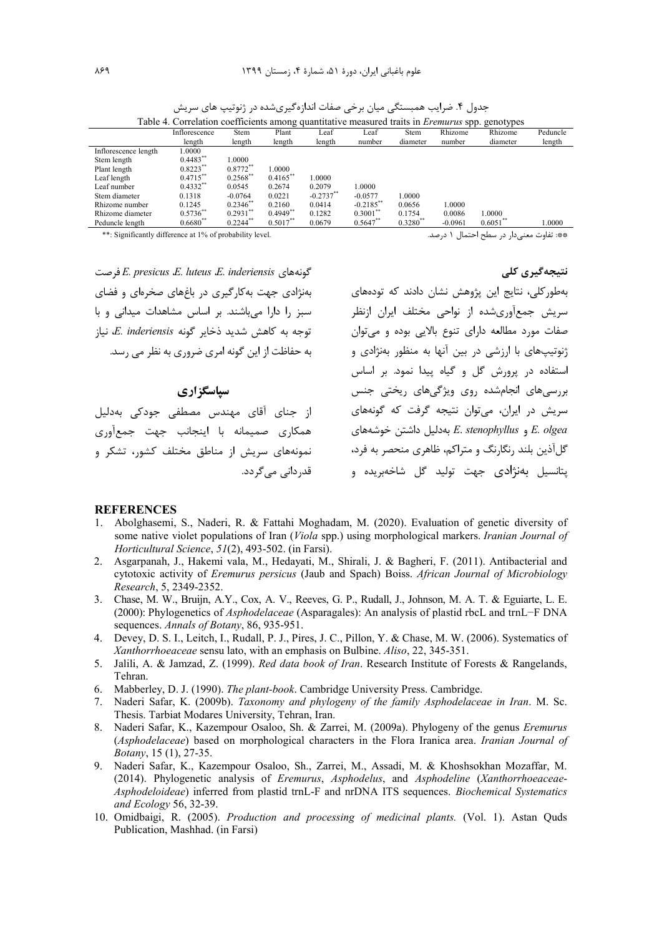| Table 4. Correlation coefficients among quantitative measured traits in <i>Eremurus</i> spp. genotypes |               |               |             |              |              |               |           |             |          |
|--------------------------------------------------------------------------------------------------------|---------------|---------------|-------------|--------------|--------------|---------------|-----------|-------------|----------|
|                                                                                                        | Inflorescence | Stem          | Plant       | Leaf         | Leaf         | Stem          | Rhizome   | Rhizome     | Peduncle |
|                                                                                                        | length        | length        | length      | length       | number       | diameter      | number    | diameter    | length   |
| Inflorescence length                                                                                   | 1.0000        |               |             |              |              |               |           |             |          |
| Stem length                                                                                            | $0.4483**$    | 1.0000        |             |              |              |               |           |             |          |
| Plant length                                                                                           | $0.8223***$   | $0.8772**$    | 1.0000      |              |              |               |           |             |          |
| Leaf length                                                                                            | $0.4715***$   | $0.2568$ **   | $0.4165***$ | 0000.        |              |               |           |             |          |
| Leaf number                                                                                            | $0.4332**$    | 0.0545        | 0.2674      | 0.2079       | 1.0000       |               |           |             |          |
| Stem diameter                                                                                          | 0.1318        | $-0.0764$     | 0.0221      | $-0.2737$ ** | $-0.0577$    | 1.0000        |           |             |          |
| Rhizome number                                                                                         | 0.1245        | $0.2346^{**}$ | 0.2160      | 0.0414       | $-0.2185$ ** | 0.0656        | 1.0000    |             |          |
| Rhizome diameter                                                                                       | $0.5736^{**}$ | $0.2931$ **   | $0.4949**$  | 0.1282       | $0.3001$ **  | 0.1754        | 0.0086    | 1.0000      |          |
| Peduncle length                                                                                        | $0.6680**$    | $0.2244$ **   | $0.5017***$ | 0.0679       | $0.5647$ **  | $0.3280^{**}$ | $-0.0961$ | $0.6051$ ** | 1.0000   |
|                                                                                                        |               |               |             |              |              |               |           |             |          |

جدول ۴. ضرایب همبستگی میان برخی صفات اندازهگیریشده در ژنوتیپ های سریش

\*\*: Significantly difference at 1% of probability level. لا درصد. المستخدم المستخدم المستخدم المستخدم المستخدم المستخدم المستخدم المستخدم المستخدم المستخدم المستخدم المستخدم المستخدم المستخدم المستخدم المستخدم المستخدم ال

 4T&7 *E. presicus E. luteus E. inderiensis* D>5!: بهنژادی جهت به کارگیری در باغهای صخرهای و فضای سبز را دارا میباشند. بر اساس مشاهدات میدانی و با  $\mu$ قوجه به كاهش شديد ذخاير گونه E. inderiensis، تياز به حفاظت از این گونه امری ضروری به نظر می رسد.

**سیاسگز اری** 

از جنای آقای مهندس مصطفی جودکی بهدلیل همکاری صمیمانه با اینجانب جهت جمعآوری نمونههای سریش از مناطق مختلف کشور، تشکر و قدر دانے ، مے گر دد. بهطور کلی، نتایج این پژوهش نشان دادند که تودههای سریش جمعآوریشده از نواحی مختلف ایران ازنظر صفات مورد مطالعه دارای تنوع بالایی بوده و میتوان ژنوتیپهای با ارزشی در بین آنها به منظور بهنژادی و استفاده در پرورش گل و گیاه پیدا نمود. بر اساس بررسیهای انجامشده روی ویژگیهای ریختی جنس سریش در ایران، می توان نتیجه گرفت که گونههای D>5 8 1 % Q3L5\$ *E*. *stenophyllus E. olgea* گلآذین بلند رنگارنگ و متراکم، ظاهری منحصر به فرد، پتانسیل بهنژادی جهت تولید گل شاخهبریده و

نتیجهگیری کل<u>ی</u>

#### **REFERENCES**

- 1. Abolghasemi, S., Naderi, R. & Fattahi Moghadam, M. (2020). Evaluation of genetic diversity of some native violet populations of Iran (*Viola* spp.) using morphological markers. *Iranian Journal of Horticultural Science*, *51*(2), 493-502. (in Farsi).
- 2. Asgarpanah, J., Hakemi vala, M., Hedayati, M., Shirali, J. & Bagheri, F. (2011). Antibacterial and cytotoxic activity of *Eremurus persicus* (Jaub and Spach) Boiss. *African Journal of Microbiology Research*, 5, 2349-2352.
- 3. Chase, M. W., Bruijn, A.Y., Cox, A. V., Reeves, G. P., Rudall, J., Johnson, M. A. T. & Eguiarte, L. E. (2000): Phylogenetics of *Asphodelaceae* (Asparagales): An analysis of plastid rbcL and trnL−F DNA sequences. *Annals of Botany*, 86, 935-951.
- 4. Devey, D. S. I., Leitch, I., Rudall, P. J., Pires, J. C., Pillon, Y. & Chase, M. W. (2006). Systematics of *Xanthorrhoeaceae* sensu lato, with an emphasis on Bulbine. *Aliso*, 22, 345-351.
- 5. Jalili, A. & Jamzad, Z. (1999). *Red data book of Iran*. Research Institute of Forests & Rangelands, Tehran.
- 6. Mabberley, D. J. (1990). *The plant-book*. Cambridge University Press. Cambridge.
- 7. Naderi Safar, K. (2009b). *Taxonomy and phylogeny of the family Asphodelaceae in Iran*. M. Sc. Thesis. Tarbiat Modares University, Tehran, Iran.
- 8. Naderi Safar, K., Kazempour Osaloo, Sh. & Zarrei, M. (2009a). Phylogeny of the genus *Eremurus* (*Asphodelaceae*) based on morphological characters in the Flora Iranica area. *Iranian Journal of Botany*, 15 (1), 27-35.
- 9. Naderi Safar, K., Kazempour Osaloo, Sh., Zarrei, M., Assadi, M. & Khoshsokhan Mozaffar, M. (2014). Phylogenetic analysis of *Eremurus*, *Asphodelus*, and *Asphodeline* (*Xanthorrhoeaceae*-*Asphodeloideae*) inferred from plastid trnL-F and nrDNA ITS sequences. *Biochemical Systematics and Ecology* 56, 32-39.
- 10. Omidbaigi, R. (2005). *Production and processing of medicinal plants.* (Vol. 1). Astan Quds Publication, Mashhad. (in Farsi)